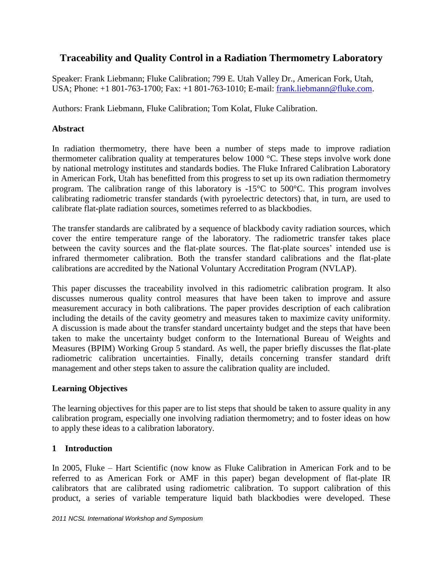# **Traceability and Quality Control in a Radiation Thermometry Laboratory**

Speaker: Frank Liebmann; Fluke Calibration; 799 E. Utah Valley Dr., American Fork, Utah, USA; Phone: +1 801-763-1700; Fax: +1 801-763-1010; E-mail: [frank.liebmann@fluke.com.](mailto:frank.liebmann@fluke.com)

Authors: Frank Liebmann, Fluke Calibration; Tom Kolat, Fluke Calibration.

## **Abstract**

In radiation thermometry, there have been a number of steps made to improve radiation thermometer calibration quality at temperatures below 1000 °C. These steps involve work done by national metrology institutes and standards bodies. The Fluke Infrared Calibration Laboratory in American Fork, Utah has benefitted from this progress to set up its own radiation thermometry program. The calibration range of this laboratory is -15°C to 500°C. This program involves calibrating radiometric transfer standards (with pyroelectric detectors) that, in turn, are used to calibrate flat-plate radiation sources, sometimes referred to as blackbodies.

The transfer standards are calibrated by a sequence of blackbody cavity radiation sources, which cover the entire temperature range of the laboratory. The radiometric transfer takes place between the cavity sources and the flat-plate sources. The flat-plate sources' intended use is infrared thermometer calibration. Both the transfer standard calibrations and the flat-plate calibrations are accredited by the National Voluntary Accreditation Program (NVLAP).

This paper discusses the traceability involved in this radiometric calibration program. It also discusses numerous quality control measures that have been taken to improve and assure measurement accuracy in both calibrations. The paper provides description of each calibration including the details of the cavity geometry and measures taken to maximize cavity uniformity. A discussion is made about the transfer standard uncertainty budget and the steps that have been taken to make the uncertainty budget conform to the International Bureau of Weights and Measures (BPIM) Working Group 5 standard. As well, the paper briefly discusses the flat-plate radiometric calibration uncertainties. Finally, details concerning transfer standard drift management and other steps taken to assure the calibration quality are included.

## **Learning Objectives**

The learning objectives for this paper are to list steps that should be taken to assure quality in any calibration program, especially one involving radiation thermometry; and to foster ideas on how to apply these ideas to a calibration laboratory.

## **1 Introduction**

In 2005, Fluke – Hart Scientific (now know as Fluke Calibration in American Fork and to be referred to as American Fork or AMF in this paper) began development of flat-plate IR calibrators that are calibrated using radiometric calibration. To support calibration of this product, a series of variable temperature liquid bath blackbodies were developed. These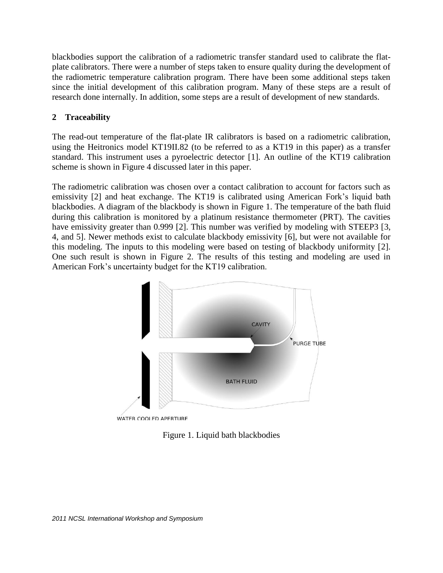blackbodies support the calibration of a radiometric transfer standard used to calibrate the flatplate calibrators. There were a number of steps taken to ensure quality during the development of the radiometric temperature calibration program. There have been some additional steps taken since the initial development of this calibration program. Many of these steps are a result of research done internally. In addition, some steps are a result of development of new standards.

## **2 Traceability**

The read-out temperature of the flat-plate IR calibrators is based on a radiometric calibration, using the Heitronics model KT19II.82 (to be referred to as a KT19 in this paper) as a transfer standard. This instrument uses a pyroelectric detector [\[1\]](#page-12-0). An outline of the KT19 calibration scheme is shown in [Figure 4](#page-4-0) discussed later in this paper.

The radiometric calibration was chosen over a contact calibration to account for factors such as emissivity [\[2\]](#page-12-1) and heat exchange. The KT19 is calibrated using American Fork's liquid bath blackbodies. A diagram of the blackbody is shown in [Figure 1.](#page-1-0) The temperature of the bath fluid during this calibration is monitored by a platinum resistance thermometer (PRT). The cavities have emissivity greater than 0.999 [\[2\]](#page-12-1). This number was verified by modeling with STEEP3 [\[3,](#page-12-2) [4,](#page-12-3) and [5\]](#page-12-4). Newer methods exist to calculate blackbody emissivity [\[6\]](#page-12-5), but were not available for this modeling. The inputs to this modeling were based on testing of blackbody uniformity [\[2\]](#page-12-1). One such result is shown in [Figure 2.](#page-2-0) The results of this testing and modeling are used in American Fork's uncertainty budget for the KT19 calibration.



<span id="page-1-0"></span>WATER COOLED APERTURE

Figure 1. Liquid bath blackbodies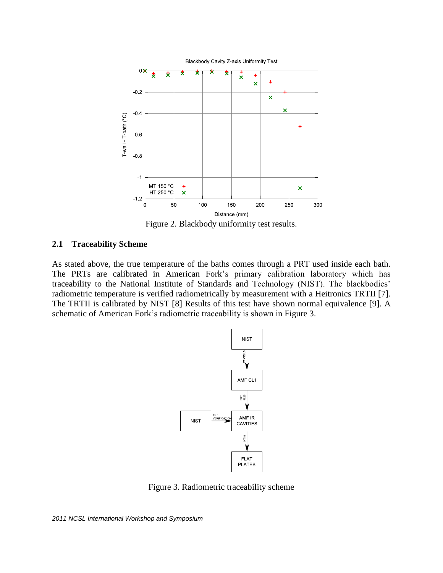

Figure 2. Blackbody uniformity test results.

### <span id="page-2-0"></span>**2.1 Traceability Scheme**

As stated above, the true temperature of the baths comes through a PRT used inside each bath. The PRTs are calibrated in American Fork's primary calibration laboratory which has traceability to the National Institute of Standards and Technology (NIST). The blackbodies' radiometric temperature is verified radiometrically by measurement with a Heitronics TRTII [\[7\]](#page-13-0). The TRTII is calibrated by NIST [\[8\]](#page-13-1) Results of this test have shown normal equivalence [\[9\]](#page-13-2). A schematic of American Fork's radiometric traceability is shown in [Figure 3.](#page-2-1)



Figure 3. Radiometric traceability scheme

<span id="page-2-1"></span>*2011 NCSL International Workshop and Symposium*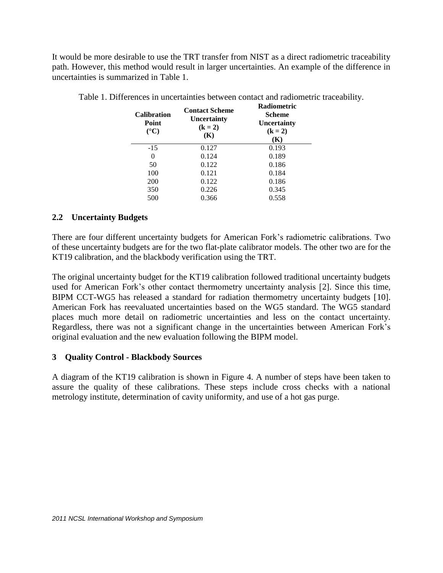It would be more desirable to use the TRT transfer from NIST as a direct radiometric traceability path. However, this method would result in larger uncertainties. An example of the difference in uncertainties is summarized in [Table 1.](#page-3-0)

| <b>Calibration</b><br>Point<br>$({}^{\circ}C)$ | <b>Contact Scheme</b><br>Uncertainty<br>$(k = 2)$<br>(K) | Radiometric<br><b>Scheme</b><br><b>Uncertainty</b><br>$(k = 2)$<br>(K) |
|------------------------------------------------|----------------------------------------------------------|------------------------------------------------------------------------|
| $-15$                                          | 0.127                                                    | 0.193                                                                  |
| 0                                              | 0.124                                                    | 0.189                                                                  |
| 50                                             | 0.122                                                    | 0.186                                                                  |
| 100                                            | 0.121                                                    | 0.184                                                                  |
| <b>200</b>                                     | 0.122                                                    | 0.186                                                                  |
| 350                                            | 0.226                                                    | 0.345                                                                  |
| 500                                            | 0.366                                                    | 0.558                                                                  |

<span id="page-3-0"></span>Table 1. Differences in uncertainties between contact and radiometric traceability.

## **2.2 Uncertainty Budgets**

There are four different uncertainty budgets for American Fork's radiometric calibrations. Two of these uncertainty budgets are for the two flat-plate calibrator models. The other two are for the KT19 calibration, and the blackbody verification using the TRT.

The original uncertainty budget for the KT19 calibration followed traditional uncertainty budgets used for American Fork's other contact thermometry uncertainty analysis [\[2\]](#page-12-1). Since this time, BIPM CCT-WG5 has released a standard for radiation thermometry uncertainty budgets [\[10\]](#page-13-3). American Fork has reevaluated uncertainties based on the WG5 standard. The WG5 standard places much more detail on radiometric uncertainties and less on the contact uncertainty. Regardless, there was not a significant change in the uncertainties between American Fork's original evaluation and the new evaluation following the BIPM model.

## **3 Quality Control - Blackbody Sources**

A diagram of the KT19 calibration is shown in [Figure 4.](#page-4-0) A number of steps have been taken to assure the quality of these calibrations. These steps include cross checks with a national metrology institute, determination of cavity uniformity, and use of a hot gas purge.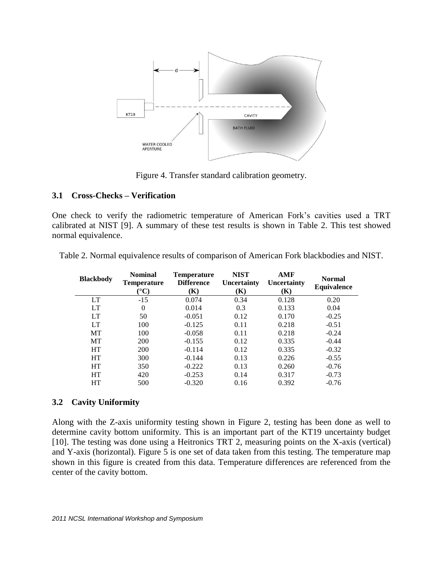

Figure 4. Transfer standard calibration geometry.

## <span id="page-4-0"></span>**3.1 Cross-Checks – Verification**

One check to verify the radiometric temperature of American Fork's cavities used a TRT calibrated at NIST [\[9\]](#page-13-2). A summary of these test results is shown in [Table 2.](#page-4-1) This test showed normal equivalence.

| <b>Blackbody</b> | <b>Nominal</b><br><b>Temperature</b><br>$({}^\circ\mathrm{C})$ | <b>Temperature</b><br><b>Difference</b><br>(K) | <b>NIST</b><br>Uncertainty<br>(K) | <b>AMF</b><br>Uncertainty<br>(K) | <b>Normal</b><br>Equivalence |
|------------------|----------------------------------------------------------------|------------------------------------------------|-----------------------------------|----------------------------------|------------------------------|
| LT               | $-15$                                                          | 0.074                                          | 0.34                              | 0.128                            | 0.20                         |
| LT               | $\Omega$                                                       | 0.014                                          | 0.3                               | 0.133                            | 0.04                         |
| LT               | 50                                                             | $-0.051$                                       | 0.12                              | 0.170                            | $-0.25$                      |
| LT               | 100                                                            | $-0.125$                                       | 0.11                              | 0.218                            | $-0.51$                      |
| <b>MT</b>        | 100                                                            | $-0.058$                                       | 0.11                              | 0.218                            | $-0.24$                      |
| <b>MT</b>        | 200                                                            | $-0.155$                                       | 0.12                              | 0.335                            | $-0.44$                      |
| <b>HT</b>        | 200                                                            | $-0.114$                                       | 0.12                              | 0.335                            | $-0.32$                      |
| <b>HT</b>        | 300                                                            | $-0.144$                                       | 0.13                              | 0.226                            | $-0.55$                      |
| <b>HT</b>        | 350                                                            | $-0.222$                                       | 0.13                              | 0.260                            | $-0.76$                      |
| <b>HT</b>        | 420                                                            | $-0.253$                                       | 0.14                              | 0.317                            | $-0.73$                      |
| HT               | 500                                                            | $-0.320$                                       | 0.16                              | 0.392                            | $-0.76$                      |

<span id="page-4-1"></span>Table 2. Normal equivalence results of comparison of American Fork blackbodies and NIST.

### **3.2 Cavity Uniformity**

Along with the Z-axis uniformity testing shown in [Figure 2,](#page-2-0) testing has been done as well to determine cavity bottom uniformity. This is an important part of the KT19 uncertainty budget [\[10\]](#page-13-3). The testing was done using a Heitronics TRT 2, measuring points on the X-axis (vertical) and Y-axis (horizontal). [Figure 5](#page-5-0) is one set of data taken from this testing. The temperature map shown in this figure is created from this data. Temperature differences are referenced from the center of the cavity bottom.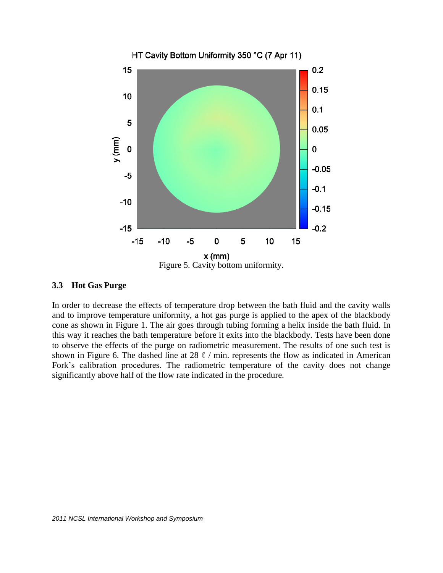

#### <span id="page-5-0"></span>**3.3 Hot Gas Purge**

In order to decrease the effects of temperature drop between the bath fluid and the cavity walls and to improve temperature uniformity, a hot gas purge is applied to the apex of the blackbody cone as shown in [Figure 1.](#page-1-0) The air goes through tubing forming a helix inside the bath fluid. In this way it reaches the bath temperature before it exits into the blackbody. Tests have been done to observe the effects of the purge on radiometric measurement. The results of one such test is shown in [Figure 6.](#page-6-0) The dashed line at 28  $\ell$  / min. represents the flow as indicated in American Fork's calibration procedures. The radiometric temperature of the cavity does not change significantly above half of the flow rate indicated in the procedure.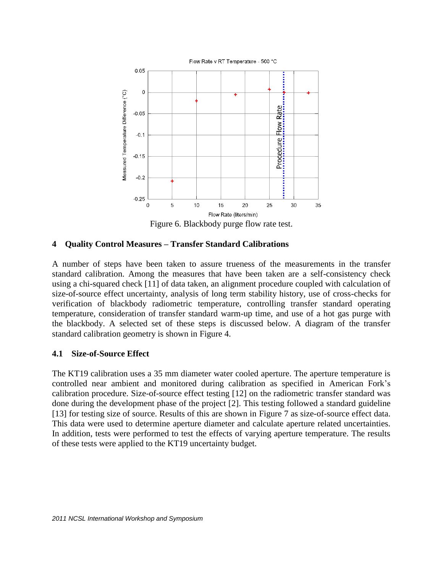

<span id="page-6-0"></span>**4 Quality Control Measures – Transfer Standard Calibrations**

A number of steps have been taken to assure trueness of the measurements in the transfer standard calibration. Among the measures that have been taken are a self-consistency check using a chi-squared check [\[11\]](#page-13-4) of data taken, an alignment procedure coupled with calculation of size-of-source effect uncertainty, analysis of long term stability history, use of cross-checks for verification of blackbody radiometric temperature, controlling transfer standard operating temperature, consideration of transfer standard warm-up time, and use of a hot gas purge with the blackbody. A selected set of these steps is discussed below. A diagram of the transfer standard calibration geometry is shown in [Figure 4.](#page-4-0)

### **4.1 Size-of-Source Effect**

The KT19 calibration uses a 35 mm diameter water cooled aperture. The aperture temperature is controlled near ambient and monitored during calibration as specified in American Fork's calibration procedure. Size-of-source effect testing [\[12\]](#page-13-5) on the radiometric transfer standard was done during the development phase of the project [\[2\]](#page-12-1). This testing followed a standard guideline [\[13\]](#page-13-6) for testing size of source. Results of this are shown in [Figure 7](#page-7-0) as size-of-source effect data. This data were used to determine aperture diameter and calculate aperture related uncertainties. In addition, tests were performed to test the effects of varying aperture temperature. The results of these tests were applied to the KT19 uncertainty budget.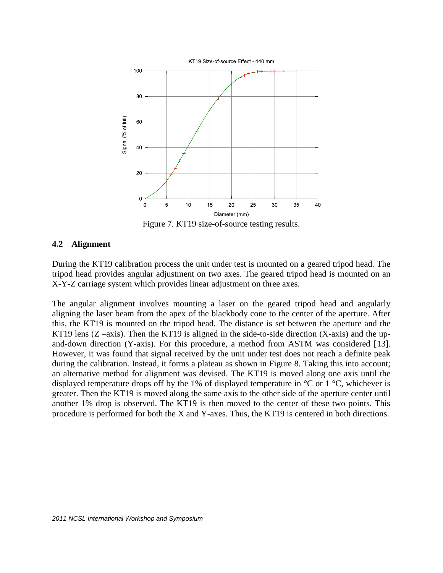

Figure 7. KT19 size-of-source testing results.

### <span id="page-7-0"></span>**4.2 Alignment**

During the KT19 calibration process the unit under test is mounted on a geared tripod head. The tripod head provides angular adjustment on two axes. The geared tripod head is mounted on an X-Y-Z carriage system which provides linear adjustment on three axes.

The angular alignment involves mounting a laser on the geared tripod head and angularly aligning the laser beam from the apex of the blackbody cone to the center of the aperture. After this, the KT19 is mounted on the tripod head. The distance is set between the aperture and the KT19 lens  $(Z - axis)$ . Then the KT19 is aligned in the side-to-side direction  $(X - axis)$  and the upand-down direction (Y-axis). For this procedure, a method from ASTM was considered [\[13\]](#page-13-6). However, it was found that signal received by the unit under test does not reach a definite peak during the calibration. Instead, it forms a plateau as shown in [Figure 8.](#page-8-0) Taking this into account; an alternative method for alignment was devised. The KT19 is moved along one axis until the displayed temperature drops off by the 1% of displayed temperature in  $\mathrm{C}$  or 1  $\mathrm{C}$ , whichever is greater. Then the KT19 is moved along the same axis to the other side of the aperture center until another 1% drop is observed. The KT19 is then moved to the center of these two points. This procedure is performed for both the X and Y-axes. Thus, the KT19 is centered in both directions.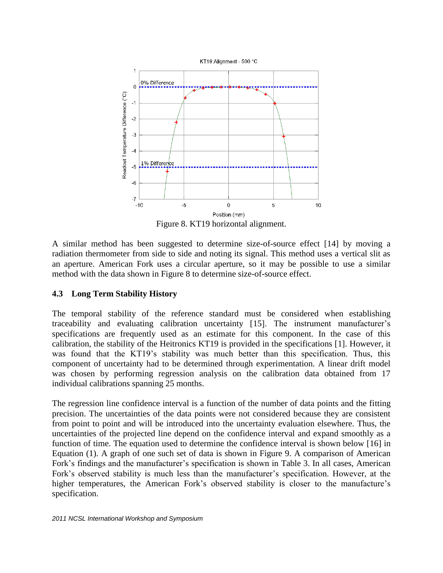

Figure 8. KT19 horizontal alignment.

<span id="page-8-0"></span>A similar method has been suggested to determine size-of-source effect [\[14\]](#page-13-7) by moving a radiation thermometer from side to side and noting its signal. This method uses a vertical slit as an aperture. American Fork uses a circular aperture, so it may be possible to use a similar method with the data shown in [Figure 8](#page-8-0) to determine size-of-source effect.

## **4.3 Long Term Stability History**

The temporal stability of the reference standard must be considered when establishing traceability and evaluating calibration uncertainty [\[15\]](#page-13-8). The instrument manufacturer's specifications are frequently used as an estimate for this component. In the case of this calibration, the stability of the Heitronics KT19 is provided in the specifications [\[1\]](#page-12-0). However, it was found that the KT19's stability was much better than this specification. Thus, this component of uncertainty had to be determined through experimentation. A linear drift model was chosen by performing regression analysis on the calibration data obtained from 17 individual calibrations spanning 25 months.

The regression line confidence interval is a function of the number of data points and the fitting precision. The uncertainties of the data points were not considered because they are consistent from point to point and will be introduced into the uncertainty evaluation elsewhere. Thus, the uncertainties of the projected line depend on the confidence interval and expand smoothly as a function of time. The equation used to determine the confidence interval is shown below [\[16\]](#page-13-9) in Equation [\(1\)](#page-9-0). A graph of one such set of data is shown in [Figure 9.](#page-9-1) A comparison of American Fork's findings and the manufacturer's specification is shown in [Table 3.](#page-9-2) In all cases, American Fork's observed stability is much less than the manufacturer's specification. However, at the higher temperatures, the American Fork's observed stability is closer to the manufacture's specification.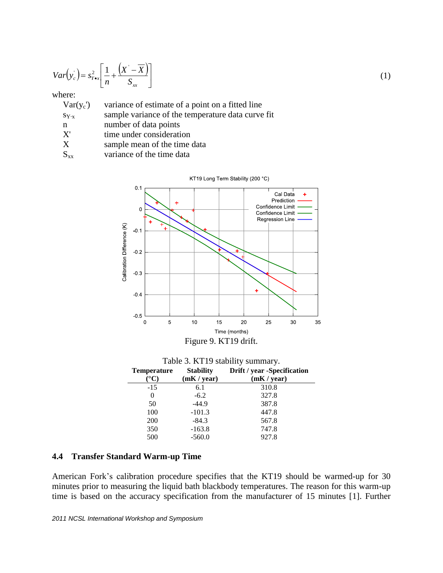$$
Var(y_c) = s_{Y \bullet x}^2 \left[ \frac{1}{n} + \frac{(X - \overline{X})}{S_{xx}} \right]
$$

<span id="page-9-0"></span>(1)

#### where:

| variance of estimate of a point on a fitted line<br>$Var(y_c)$ |
|----------------------------------------------------------------|
|----------------------------------------------------------------|

- $s_{Y \cdot x}$  sample variance of the temperature data curve fit
- n number of data points
- X' time under consideration
- X sample mean of the time data
- $S_{xx}$  variance of the time data



Figure 9. KT19 drift.

<span id="page-9-2"></span><span id="page-9-1"></span>

| Table 3. KT19 stability summary. |                  |                             |  |  |
|----------------------------------|------------------|-----------------------------|--|--|
| <b>Temperature</b>               | <b>Stability</b> | Drift / year -Specification |  |  |
| $^{\circ}\mathrm{C}$             | (mK / year)      | (mK / year)                 |  |  |
| $-15$                            | 6.1              | 310.8                       |  |  |
| 0                                | $-6.2$           | 327.8                       |  |  |
| 50                               | $-44.9$          | 387.8                       |  |  |
| 100                              | $-101.3$         | 447.8                       |  |  |
| 200                              | $-84.3$          | 567.8                       |  |  |
| 350                              | $-163.8$         | 747.8                       |  |  |
| 500                              | $-560.0$         | 927.8                       |  |  |

#### **4.4 Transfer Standard Warm-up Time**

American Fork's calibration procedure specifies that the KT19 should be warmed-up for 30 minutes prior to measuring the liquid bath blackbody temperatures. The reason for this warm-up time is based on the accuracy specification from the manufacturer of 15 minutes [\[1\]](#page-12-0). Further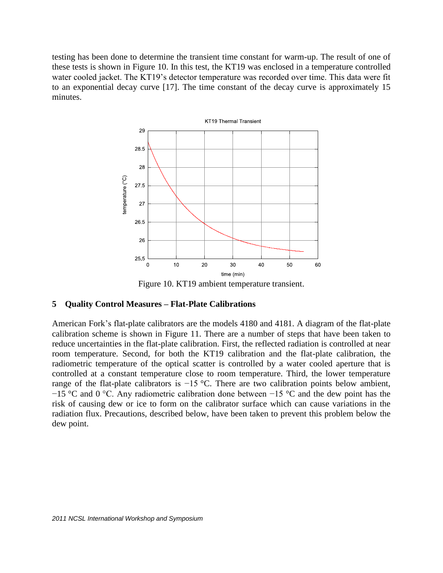testing has been done to determine the transient time constant for warm-up. The result of one of these tests is shown in [Figure 10.](#page-10-0) In this test, the KT19 was enclosed in a temperature controlled water cooled jacket. The KT19's detector temperature was recorded over time. This data were fit to an exponential decay curve [\[17\]](#page-13-10). The time constant of the decay curve is approximately 15 minutes.



Figure 10. KT19 ambient temperature transient.

### <span id="page-10-0"></span>**5 Quality Control Measures – Flat-Plate Calibrations**

American Fork's flat-plate calibrators are the models 4180 and 4181. A diagram of the flat-plate calibration scheme is shown in [Figure](#page-11-0) 11. There are a number of steps that have been taken to reduce uncertainties in the flat-plate calibration. First, the reflected radiation is controlled at near room temperature. Second, for both the KT19 calibration and the flat-plate calibration, the radiometric temperature of the optical scatter is controlled by a water cooled aperture that is controlled at a constant temperature close to room temperature. Third, the lower temperature range of the flat-plate calibrators is −15 °C. There are two calibration points below ambient, −15 °C and 0 °C. Any radiometric calibration done between −15 °C and the dew point has the risk of causing dew or ice to form on the calibrator surface which can cause variations in the radiation flux. Precautions, described below, have been taken to prevent this problem below the dew point.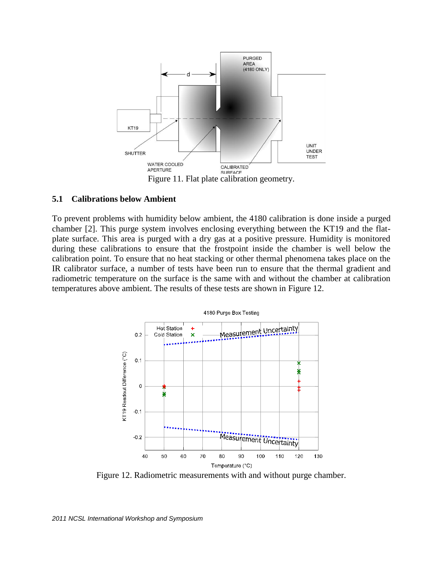

#### <span id="page-11-0"></span>**5.1 Calibrations below Ambient**

To prevent problems with humidity below ambient, the 4180 calibration is done inside a purged chamber [\[2\]](#page-12-1). This purge system involves enclosing everything between the KT19 and the flatplate surface. This area is purged with a dry gas at a positive pressure. Humidity is monitored during these calibrations to ensure that the frostpoint inside the chamber is well below the calibration point. To ensure that no heat stacking or other thermal phenomena takes place on the IR calibrator surface, a number of tests have been run to ensure that the thermal gradient and radiometric temperature on the surface is the same with and without the chamber at calibration temperatures above ambient. The results of these tests are shown in [Figure 12.](#page-11-1)

![](_page_11_Figure_3.jpeg)

Figure 12. Radiometric measurements with and without purge chamber.

#### <span id="page-11-1"></span>*2011 NCSL International Workshop and Symposium*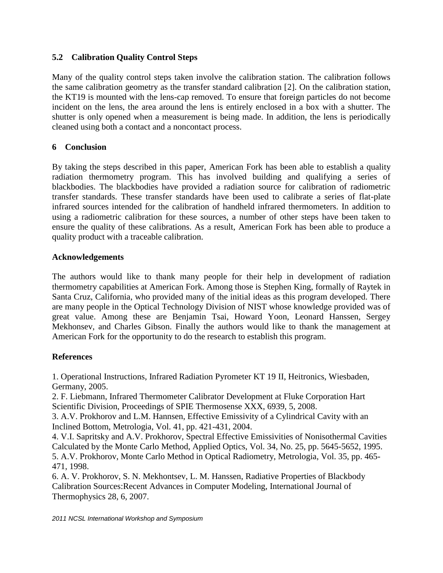## **5.2 Calibration Quality Control Steps**

Many of the quality control steps taken involve the calibration station. The calibration follows the same calibration geometry as the transfer standard calibration [\[2\]](#page-12-1). On the calibration station, the KT19 is mounted with the lens-cap removed. To ensure that foreign particles do not become incident on the lens, the area around the lens is entirely enclosed in a box with a shutter. The shutter is only opened when a measurement is being made. In addition, the lens is periodically cleaned using both a contact and a noncontact process.

## **6 Conclusion**

By taking the steps described in this paper, American Fork has been able to establish a quality radiation thermometry program. This has involved building and qualifying a series of blackbodies. The blackbodies have provided a radiation source for calibration of radiometric transfer standards. These transfer standards have been used to calibrate a series of flat-plate infrared sources intended for the calibration of handheld infrared thermometers. In addition to using a radiometric calibration for these sources, a number of other steps have been taken to ensure the quality of these calibrations. As a result, American Fork has been able to produce a quality product with a traceable calibration.

## **Acknowledgements**

The authors would like to thank many people for their help in development of radiation thermometry capabilities at American Fork. Among those is Stephen King, formally of Raytek in Santa Cruz, California, who provided many of the initial ideas as this program developed. There are many people in the Optical Technology Division of NIST whose knowledge provided was of great value. Among these are Benjamin Tsai, Howard Yoon, Leonard Hanssen, Sergey Mekhonsev, and Charles Gibson. Finally the authors would like to thank the management at American Fork for the opportunity to do the research to establish this program.

## **References**

<span id="page-12-0"></span>1. Operational Instructions, Infrared Radiation Pyrometer KT 19 II, Heitronics, Wiesbaden, Germany, 2005.

<span id="page-12-1"></span>2. F. Liebmann, Infrared Thermometer Calibrator Development at Fluke Corporation Hart Scientific Division, Proceedings of SPIE Thermosense XXX, 6939, 5, 2008.

<span id="page-12-2"></span>3. A.V. Prokhorov and L.M. Hannsen, Effective Emissivity of a Cylindrical Cavity with an Inclined Bottom, Metrologia, Vol. 41, pp. 421-431, 2004.

<span id="page-12-4"></span><span id="page-12-3"></span>4. V.I. Sapritsky and A.V. Prokhorov, Spectral Effective Emissivities of Nonisothermal Cavities Calculated by the Monte Carlo Method, Applied Optics, Vol. 34, No. 25, pp. 5645-5652, 1995. 5. A.V. Prokhorov, Monte Carlo Method in Optical Radiometry, Metrologia, Vol. 35, pp. 465- 471, 1998.

<span id="page-12-5"></span>6. A. V. Prokhorov, S. N. Mekhontsev, L. M. Hanssen, Radiative Properties of Blackbody Calibration Sources:Recent Advances in Computer Modeling, International Journal of Thermophysics 28, 6, 2007.